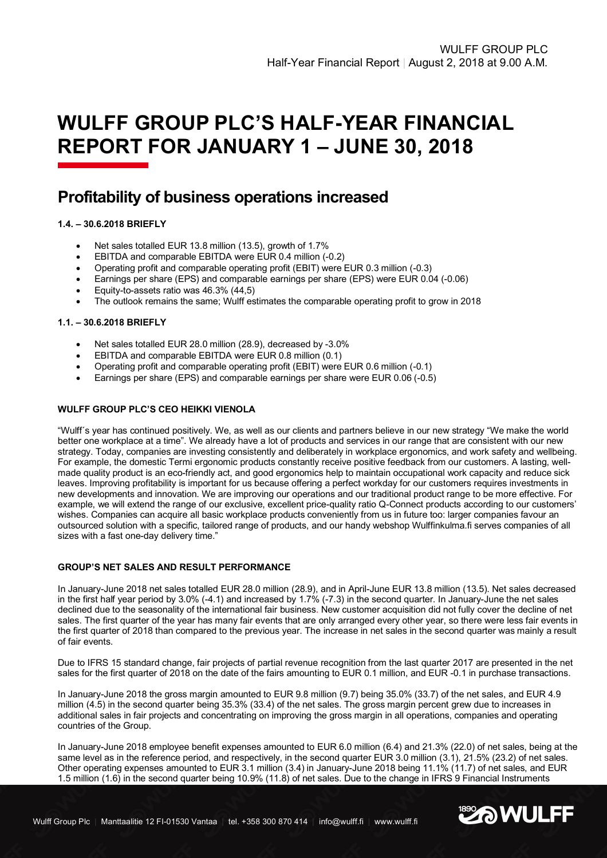# **WULFF GROUP PLC'S HALF-YEAR FINANCIAL REPORT FOR JANUARY 1 – JUNE 30, 2018**

# **Profitability of business operations increased**

# **1.4. – 30.6.2018 BRIEFLY**

- Net sales totalled EUR 13.8 million (13.5), growth of 1.7%
- EBITDA and comparable EBITDA were EUR 0.4 million (-0.2)
- Operating profit and comparable operating profit (EBIT) were EUR 0.3 million (-0.3)
- Earnings per share (EPS) and comparable earnings per share (EPS) were EUR 0.04 (-0.06)
- Equity-to-assets ratio was 46.3% (44,5)
- The outlook remains the same; Wulff estimates the comparable operating profit to grow in 2018

#### **1.1. – 30.6.2018 BRIEFLY**

- Net sales totalled EUR 28.0 million (28.9), decreased by -3.0%
- EBITDA and comparable EBITDA were EUR 0.8 million (0.1)
- Operating profit and comparable operating profit (EBIT) were EUR 0.6 million (-0.1)
- Earnings per share (EPS) and comparable earnings per share were EUR 0.06 (-0.5)

#### **WULFF GROUP PLC'S CEO HEIKKI VIENOLA**

"Wulff´s year has continued positively. We, as well as our clients and partners believe in our new strategy "We make the world better one workplace at a time". We already have a lot of products and services in our range that are consistent with our new strategy. Today, companies are investing consistently and deliberately in workplace ergonomics, and work safety and wellbeing. For example, the domestic Termi ergonomic products constantly receive positive feedback from our customers. A lasting, wellmade quality product is an eco-friendly act, and good ergonomics help to maintain occupational work capacity and reduce sick leaves. Improving profitability is important for us because offering a perfect workday for our customers requires investments in new developments and innovation. We are improving our operations and our traditional product range to be more effective. For example, we will extend the range of our exclusive, excellent price-quality ratio Q-Connect products according to our customers' wishes. Companies can acquire all basic workplace products conveniently from us in future too: larger companies favour an outsourced solution with a specific, tailored range of products, and our handy webshop Wulffinkulma.fi serves companies of all sizes with a fast one-day delivery time."

# **GROUP'S NET SALES AND RESULT PERFORMANCE**

In January-June 2018 net sales totalled EUR 28.0 million (28.9), and in April-June EUR 13.8 million (13.5). Net sales decreased in the first half year period by 3.0% (-4.1) and increased by 1.7% (-7.3) in the second quarter. In January-June the net sales declined due to the seasonality of the international fair business. New customer acquisition did not fully cover the decline of net sales. The first quarter of the year has many fair events that are only arranged every other year, so there were less fair events in the first quarter of 2018 than compared to the previous year. The increase in net sales in the second quarter was mainly a result of fair events.

Due to IFRS 15 standard change, fair projects of partial revenue recognition from the last quarter 2017 are presented in the net sales for the first quarter of 2018 on the date of the fairs amounting to EUR 0.1 million, and EUR -0.1 in purchase transactions.

In January-June 2018 the gross margin amounted to EUR 9.8 million (9.7) being 35.0% (33.7) of the net sales, and EUR 4.9 million (4.5) in the second quarter being 35.3% (33.4) of the net sales. The gross margin percent grew due to increases in additional sales in fair projects and concentrating on improving the gross margin in all operations, companies and operating countries of the Group.

In January-June 2018 employee benefit expenses amounted to EUR 6.0 million (6.4) and 21.3% (22.0) of net sales, being at the same level as in the reference period, and respectively, in the second quarter EUR 3.0 million (3.1), 21.5% (23.2) of net sales. Other operating expenses amounted to EUR 3.1 million (3.4) in January-June 2018 being 11.1% (11.7) of net sales, and EUR 1.5 million (1.6) in the second quarter being 10.9% (11.8) of net sales. Due to the change in IFRS 9 Financial Instruments

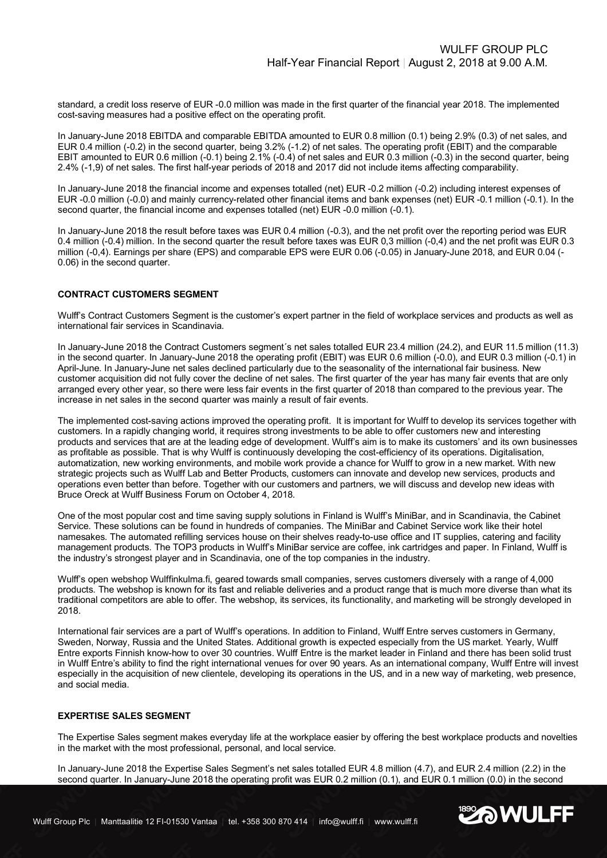standard, a credit loss reserve of EUR -0.0 million was made in the first quarter of the financial year 2018. The implemented cost-saving measures had a positive effect on the operating profit.

In January-June 2018 EBITDA and comparable EBITDA amounted to EUR 0.8 million (0.1) being 2.9% (0.3) of net sales, and EUR 0.4 million (-0.2) in the second quarter, being 3.2% (-1.2) of net sales. The operating profit (EBIT) and the comparable EBIT amounted to EUR 0.6 million (-0.1) being 2.1% (-0.4) of net sales and EUR 0.3 million (-0.3) in the second quarter, being 2.4% (-1,9) of net sales. The first half-year periods of 2018 and 2017 did not include items affecting comparability.

In January-June 2018 the financial income and expenses totalled (net) EUR -0.2 million (-0.2) including interest expenses of EUR -0.0 million (-0.0) and mainly currency-related other financial items and bank expenses (net) EUR -0.1 million (-0.1). In the second quarter, the financial income and expenses totalled (net) EUR -0.0 million (-0.1).

In January-June 2018 the result before taxes was EUR 0.4 million (-0.3), and the net profit over the reporting period was EUR 0.4 million (-0.4) million. In the second quarter the result before taxes was EUR 0,3 million (-0,4) and the net profit was EUR 0.3 million (-0,4). Earnings per share (EPS) and comparable EPS were EUR 0.06 (-0.05) in January-June 2018, and EUR 0.04 (-0.06) in the second quarter.

#### **CONTRACT CUSTOMERS SEGMENT**

Wulff's Contract Customers Segment is the customer's expert partner in the field of workplace services and products as well as international fair services in Scandinavia.

In January-June 2018 the Contract Customers segment´s net sales totalled EUR 23.4 million (24.2), and EUR 11.5 million (11.3) in the second quarter. In January-June 2018 the operating profit (EBIT) was EUR 0.6 million (-0.0), and EUR 0.3 million (-0.1) in April-June. In January-June net sales declined particularly due to the seasonality of the international fair business. New customer acquisition did not fully cover the decline of net sales. The first quarter of the year has many fair events that are only arranged every other year, so there were less fair events in the first quarter of 2018 than compared to the previous year. The increase in net sales in the second quarter was mainly a result of fair events.

The implemented cost-saving actions improved the operating profit. It is important for Wulff to develop its services together with customers. In a rapidly changing world, it requires strong investments to be able to offer customers new and interesting products and services that are at the leading edge of development. Wulff's aim is to make its customers' and its own businesses as profitable as possible. That is why Wulff is continuously developing the cost-efficiency of its operations. Digitalisation, automatization, new working environments, and mobile work provide a chance for Wulff to grow in a new market. With new strategic projects such as Wulff Lab and Better Products, customers can innovate and develop new services, products and operations even better than before. Together with our customers and partners, we will discuss and develop new ideas with Bruce Oreck at Wulff Business Forum on October 4, 2018.

One of the most popular cost and time saving supply solutions in Finland is Wulff's MiniBar, and in Scandinavia, the Cabinet Service. These solutions can be found in hundreds of companies. The MiniBar and Cabinet Service work like their hotel namesakes. The automated refilling services house on their shelves ready-to-use office and IT supplies, catering and facility management products. The TOP3 products in Wulff's MiniBar service are coffee, ink cartridges and paper. In Finland, Wulff is the industry's strongest player and in Scandinavia, one of the top companies in the industry.

Wulff's open webshop Wulffinkulma.fi, geared towards small companies, serves customers diversely with a range of 4,000 products. The webshop is known for its fast and reliable deliveries and a product range that is much more diverse than what its traditional competitors are able to offer. The webshop, its services, its functionality, and marketing will be strongly developed in 2018.

International fair services are a part of Wulff's operations. In addition to Finland, Wulff Entre serves customers in Germany, Sweden, Norway, Russia and the United States. Additional growth is expected especially from the US market. Yearly, Wulff Entre exports Finnish know-how to over 30 countries. Wulff Entre is the market leader in Finland and there has been solid trust in Wulff Entre's ability to find the right international venues for over 90 years. As an international company, Wulff Entre will invest especially in the acquisition of new clientele, developing its operations in the US, and in a new way of marketing, web presence, and social media.

#### **EXPERTISE SALES SEGMENT**

The Expertise Sales segment makes everyday life at the workplace easier by offering the best workplace products and novelties in the market with the most professional, personal, and local service.

In January-June 2018 the Expertise Sales Segment's net sales totalled EUR 4.8 million (4.7), and EUR 2.4 million (2.2) in the second quarter. In January-June 2018 the operating profit was EUR 0.2 million (0.1), and EUR 0.1 million (0.0) in the second

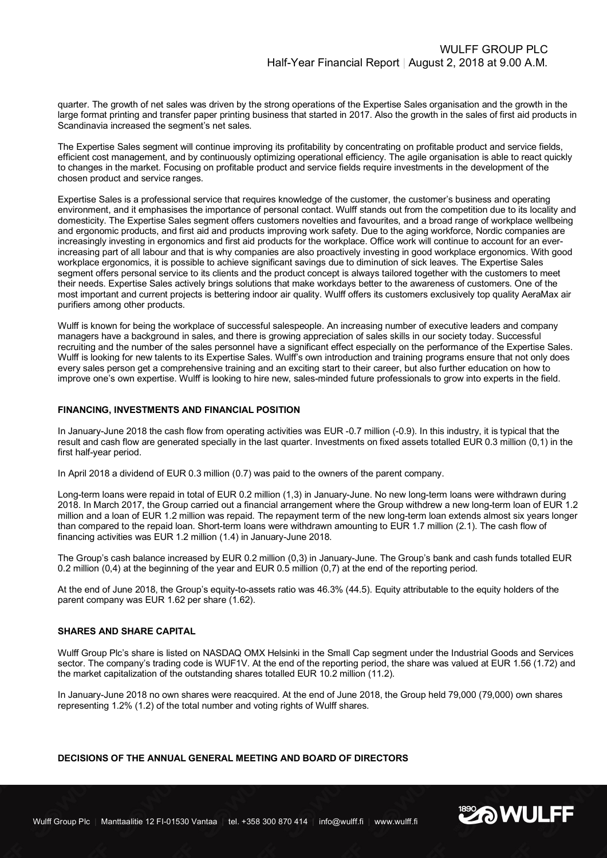quarter. The growth of net sales was driven by the strong operations of the Expertise Sales organisation and the growth in the large format printing and transfer paper printing business that started in 2017. Also the growth in the sales of first aid products in Scandinavia increased the segment's net sales.

The Expertise Sales segment will continue improving its profitability by concentrating on profitable product and service fields, efficient cost management, and by continuously optimizing operational efficiency. The agile organisation is able to react quickly to changes in the market. Focusing on profitable product and service fields require investments in the development of the chosen product and service ranges.

Expertise Sales is a professional service that requires knowledge of the customer, the customer's business and operating environment, and it emphasises the importance of personal contact. Wulff stands out from the competition due to its locality and domesticity. The Expertise Sales segment offers customers novelties and favourites, and a broad range of workplace wellbeing and ergonomic products, and first aid and products improving work safety. Due to the aging workforce, Nordic companies are increasingly investing in ergonomics and first aid products for the workplace. Office work will continue to account for an everincreasing part of all labour and that is why companies are also proactively investing in good workplace ergonomics. With good workplace ergonomics, it is possible to achieve significant savings due to diminution of sick leaves. The Expertise Sales segment offers personal service to its clients and the product concept is always tailored together with the customers to meet their needs. Expertise Sales actively brings solutions that make workdays better to the awareness of customers. One of the most important and current projects is bettering indoor air quality. Wulff offers its customers exclusively top quality AeraMax air purifiers among other products.

Wulff is known for being the workplace of successful salespeople. An increasing number of executive leaders and company managers have a background in sales, and there is growing appreciation of sales skills in our society today. Successful recruiting and the number of the sales personnel have a significant effect especially on the performance of the Expertise Sales. Wulff is looking for new talents to its Expertise Sales. Wulff's own introduction and training programs ensure that not only does every sales person get a comprehensive training and an exciting start to their career, but also further education on how to improve one's own expertise. Wulff is looking to hire new, sales-minded future professionals to grow into experts in the field.

#### **FINANCING, INVESTMENTS AND FINANCIAL POSITION**

In January-June 2018 the cash flow from operating activities was EUR -0.7 million (-0.9). In this industry, it is typical that the result and cash flow are generated specially in the last quarter. Investments on fixed assets totalled EUR 0.3 million (0,1) in the first half-year period.

In April 2018 a dividend of EUR 0.3 million (0.7) was paid to the owners of the parent company.

Long-term loans were repaid in total of EUR 0.2 million (1,3) in January-June. No new long-term loans were withdrawn during 2018. In March 2017, the Group carried out a financial arrangement where the Group withdrew a new long-term loan of EUR 1.2 million and a loan of EUR 1.2 million was repaid. The repayment term of the new long-term loan extends almost six years longer than compared to the repaid loan. Short-term loans were withdrawn amounting to EUR 1.7 million (2.1). The cash flow of financing activities was EUR 1.2 million (1.4) in January-June 2018.

The Group's cash balance increased by EUR 0.2 million (0,3) in January-June. The Group's bank and cash funds totalled EUR 0.2 million (0,4) at the beginning of the year and EUR 0.5 million (0,7) at the end of the reporting period.

At the end of June 2018, the Group's equity-to-assets ratio was 46.3% (44.5). Equity attributable to the equity holders of the parent company was EUR 1.62 per share (1.62).

#### **SHARES AND SHARE CAPITAL**

Wulff Group Plc's share is listed on NASDAQ OMX Helsinki in the Small Cap segment under the Industrial Goods and Services sector. The company's trading code is WUF1V. At the end of the reporting period, the share was valued at EUR 1.56 (1.72) and the market capitalization of the outstanding shares totalled EUR 10.2 million (11.2).

In January-June 2018 no own shares were reacquired. At the end of June 2018, the Group held 79,000 (79,000) own shares representing 1.2% (1.2) of the total number and voting rights of Wulff shares.

#### **DECISIONS OF THE ANNUAL GENERAL MEETING AND BOARD OF DIRECTORS**

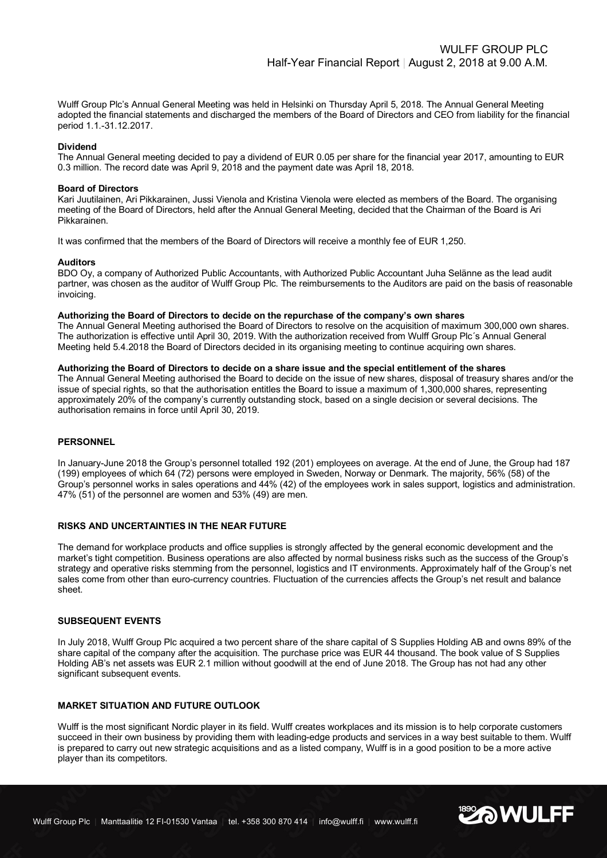Wulff Group Plc's Annual General Meeting was held in Helsinki on Thursday April 5, 2018. The Annual General Meeting adopted the financial statements and discharged the members of the Board of Directors and CEO from liability for the financial period 1.1.-31.12.2017.

#### **Dividend**

The Annual General meeting decided to pay a dividend of EUR 0.05 per share for the financial year 2017, amounting to EUR 0.3 million. The record date was April 9, 2018 and the payment date was April 18, 2018.

#### **Board of Directors**

Kari Juutilainen, Ari Pikkarainen, Jussi Vienola and Kristina Vienola were elected as members of the Board. The organising meeting of the Board of Directors, held after the Annual General Meeting, decided that the Chairman of the Board is Ari Pikkarainen.

It was confirmed that the members of the Board of Directors will receive a monthly fee of EUR 1,250.

#### **Auditors**

BDO Oy, a company of Authorized Public Accountants, with Authorized Public Accountant Juha Selänne as the lead audit partner, was chosen as the auditor of Wulff Group Plc. The reimbursements to the Auditors are paid on the basis of reasonable invoicing.

#### **Authorizing the Board of Directors to decide on the repurchase of the company's own shares**

The Annual General Meeting authorised the Board of Directors to resolve on the acquisition of maximum 300,000 own shares. The authorization is effective until April 30, 2019. With the authorization received from Wulff Group Plc´s Annual General Meeting held 5.4.2018 the Board of Directors decided in its organising meeting to continue acquiring own shares.

#### **Authorizing the Board of Directors to decide on a share issue and the special entitlement of the shares**

The Annual General Meeting authorised the Board to decide on the issue of new shares, disposal of treasury shares and/or the issue of special rights, so that the authorisation entitles the Board to issue a maximum of 1,300,000 shares, representing approximately 20% of the company's currently outstanding stock, based on a single decision or several decisions. The authorisation remains in force until April 30, 2019.

#### **PERSONNEL**

In January-June 2018 the Group's personnel totalled 192 (201) employees on average. At the end of June, the Group had 187 (199) employees of which 64 (72) persons were employed in Sweden, Norway or Denmark. The majority, 56% (58) of the Group's personnel works in sales operations and 44% (42) of the employees work in sales support, logistics and administration. 47% (51) of the personnel are women and 53% (49) are men.

#### **RISKS AND UNCERTAINTIES IN THE NEAR FUTURE**

The demand for workplace products and office supplies is strongly affected by the general economic development and the market's tight competition. Business operations are also affected by normal business risks such as the success of the Group's strategy and operative risks stemming from the personnel, logistics and IT environments. Approximately half of the Group's net sales come from other than euro-currency countries. Fluctuation of the currencies affects the Group's net result and balance sheet.

#### **SUBSEQUENT EVENTS**

In July 2018, Wulff Group Plc acquired a two percent share of the share capital of S Supplies Holding AB and owns 89% of the share capital of the company after the acquisition. The purchase price was EUR 44 thousand. The book value of S Supplies Holding AB's net assets was EUR 2.1 million without goodwill at the end of June 2018. The Group has not had any other significant subsequent events.

#### **MARKET SITUATION AND FUTURE OUTLOOK**

Wulff is the most significant Nordic player in its field. Wulff creates workplaces and its mission is to help corporate customers succeed in their own business by providing them with leading-edge products and services in a way best suitable to them. Wulff is prepared to carry out new strategic acquisitions and as a listed company, Wulff is in a good position to be a more active player than its competitors.

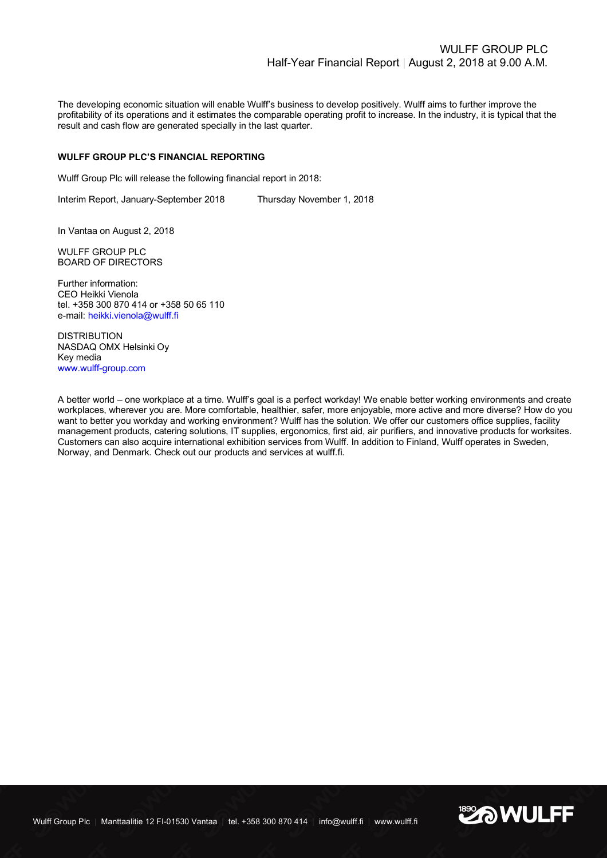The developing economic situation will enable Wulff's business to develop positively. Wulff aims to further improve the profitability of its operations and it estimates the comparable operating profit to increase. In the industry, it is typical that the result and cash flow are generated specially in the last quarter.

#### **WULFF GROUP PLC'S FINANCIAL REPORTING**

Wulff Group Plc will release the following financial report in 2018:

Interim Report, January-September 2018 Thursday November 1, 2018

In Vantaa on August 2, 2018

WULFF GROUP PLC BOARD OF DIRECTORS

Further information: CEO Heikki Vienola tel. +358 300 870 414 or +358 50 65 110 e-mail: heikki.vienola@wulff.fi

DISTRIBUTION NASDAQ OMX Helsinki Oy Key media www.wulff-group.com

A better world – one workplace at a time. Wulff's goal is a perfect workday! We enable better working environments and create workplaces, wherever you are. More comfortable, healthier, safer, more enjoyable, more active and more diverse? How do you want to better you workday and working environment? Wulff has the solution. We offer our customers office supplies, facility management products, catering solutions, IT supplies, ergonomics, first aid, air purifiers, and innovative products for worksites. Customers can also acquire international exhibition services from Wulff. In addition to Finland, Wulff operates in Sweden, Norway, and Denmark. Check out our products and services at wulff.fi.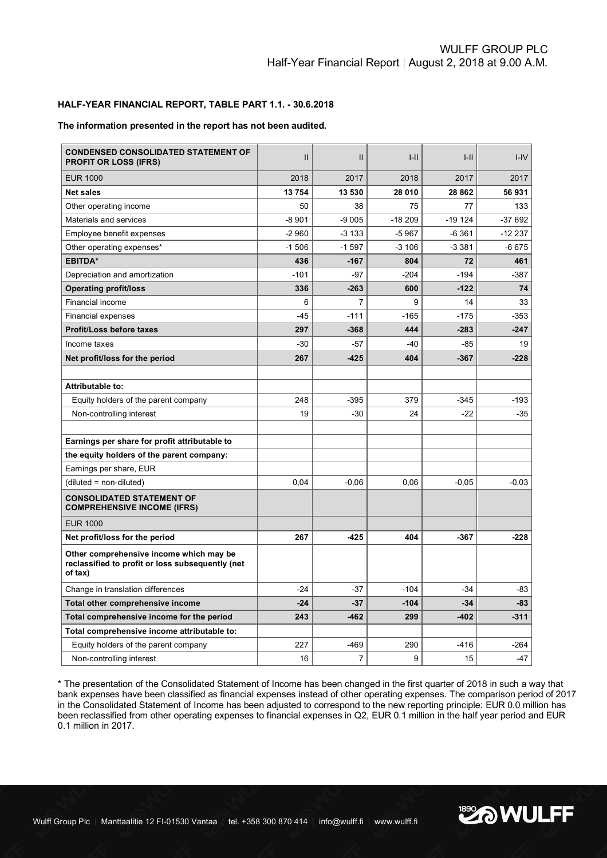# WULFF GROUP PLC Half-Year Financial Report | August 2, 2018 at 9.00 A.M.

# **HALF-YEAR FINANCIAL REPORT, TABLE PART 1.1. - 30.6.2018**

#### **The information presented in the report has not been audited.**

| <b>CONDENSED CONSOLIDATED STATEMENT OF</b><br><b>PROFIT OR LOSS (IFRS)</b>                             | $\mathsf{II}$ | $\mathsf{II}$  | $I-II$   | H        | $I - IV$ |
|--------------------------------------------------------------------------------------------------------|---------------|----------------|----------|----------|----------|
| <b>EUR 1000</b>                                                                                        | 2018          | 2017           | 2018     | 2017     | 2017     |
| <b>Net sales</b>                                                                                       | 13754         | 13 530         | 28 010   | 28 862   | 56 931   |
| Other operating income                                                                                 | 50            | 38             | 75       | 77       | 133      |
| Materials and services                                                                                 | $-8901$       | $-9005$        | $-18209$ | $-19124$ | $-37692$ |
| Employee benefit expenses                                                                              | $-2960$       | $-3133$        | $-5967$  | $-6361$  | $-12237$ |
| Other operating expenses*                                                                              | $-1506$       | $-1.597$       | $-3106$  | $-3381$  | $-6675$  |
| <b>EBITDA*</b>                                                                                         | 436           | $-167$         | 804      | 72       | 461      |
| Depreciation and amortization                                                                          | $-101$        | -97            | $-204$   | $-194$   | $-387$   |
| <b>Operating profit/loss</b>                                                                           | 336           | $-263$         | 600      | $-122$   | 74       |
| Financial income                                                                                       | 6             | $\overline{7}$ | 9        | 14       | 33       |
| <b>Financial expenses</b>                                                                              | $-45$         | $-111$         | $-165$   | $-175$   | $-353$   |
| <b>Profit/Loss before taxes</b>                                                                        | 297           | $-368$         | 444      | $-283$   | $-247$   |
| Income taxes                                                                                           | $-30$         | $-57$          | $-40$    | $-85$    | 19       |
| Net profit/loss for the period                                                                         | 267           | $-425$         | 404      | $-367$   | $-228$   |
|                                                                                                        |               |                |          |          |          |
| Attributable to:                                                                                       |               |                |          |          |          |
| Equity holders of the parent company                                                                   | 248           | $-395$         | 379      | $-345$   | $-193$   |
| Non-controlling interest                                                                               | 19            | -30            | 24       | $-22$    | -35      |
|                                                                                                        |               |                |          |          |          |
| Earnings per share for profit attributable to                                                          |               |                |          |          |          |
| the equity holders of the parent company:                                                              |               |                |          |          |          |
| Earnings per share, EUR                                                                                |               |                |          |          |          |
| (diluted = non-diluted)                                                                                | 0,04          | $-0,06$        | 0,06     | $-0,05$  | $-0,03$  |
| <b>CONSOLIDATED STATEMENT OF</b><br><b>COMPREHENSIVE INCOME (IFRS)</b>                                 |               |                |          |          |          |
| <b>EUR 1000</b>                                                                                        |               |                |          |          |          |
| Net profit/loss for the period                                                                         | 267           | $-425$         | 404      | $-367$   | $-228$   |
| Other comprehensive income which may be<br>reclassified to profit or loss subsequently (net<br>of tax) |               |                |          |          |          |
| Change in translation differences                                                                      | $-24$         | -37            | $-104$   | $-34$    | -83      |
| Total other comprehensive income                                                                       | $-24$         | $-37$          | $-104$   | $-34$    | $-83$    |
| Total comprehensive income for the period                                                              | 243           | $-462$         | 299      | $-402$   | $-311$   |
| Total comprehensive income attributable to:                                                            |               |                |          |          |          |
| Equity holders of the parent company                                                                   | 227           | $-469$         | 290      | $-416$   | $-264$   |
| Non-controlling interest                                                                               | 16            | 7              | 9        | 15       | $-47$    |

\* The presentation of the Consolidated Statement of Income has been changed in the first quarter of 2018 in such a way that bank expenses have been classified as financial expenses instead of other operating expenses. The comparison period of 2017 in the Consolidated Statement of Income has been adjusted to correspond to the new reporting principle: EUR 0.0 million has been reclassified from other operating expenses to financial expenses in Q2, EUR 0.1 million in the half year period and EUR 0.1 million in 2017.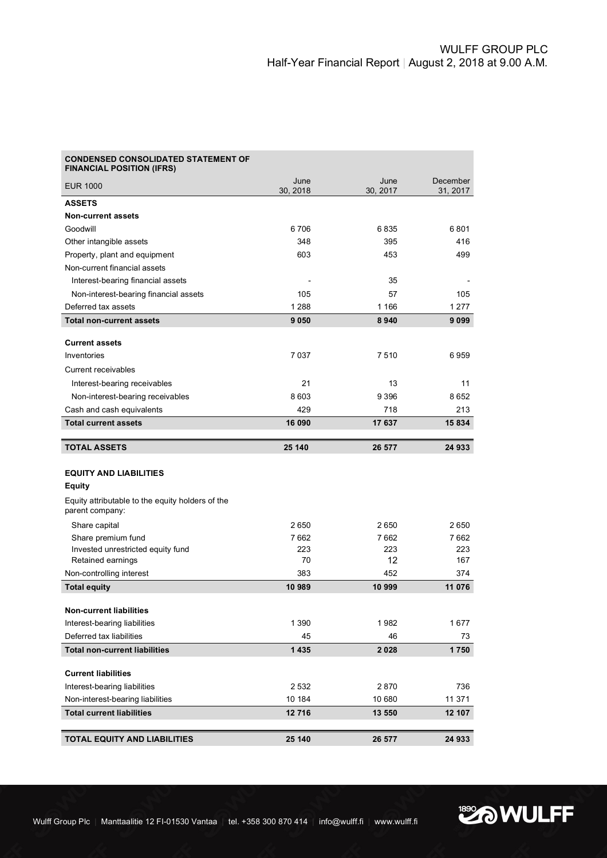| <b>CONDENSED CONSOLIDATED STATEMENT OF</b><br><b>FINANCIAL POSITION (IFRS)</b> |                  |                  |                      |
|--------------------------------------------------------------------------------|------------------|------------------|----------------------|
| <b>EUR 1000</b>                                                                | June<br>30, 2018 | June<br>30, 2017 | December<br>31, 2017 |
| <b>ASSETS</b>                                                                  |                  |                  |                      |
| <b>Non-current assets</b>                                                      |                  |                  |                      |
| Goodwill                                                                       | 6706             | 6835             | 6801                 |
| Other intangible assets                                                        | 348              | 395              | 416                  |
| Property, plant and equipment                                                  | 603              | 453              | 499                  |
| Non-current financial assets                                                   |                  |                  |                      |
| Interest-bearing financial assets                                              |                  | 35               |                      |
| Non-interest-bearing financial assets                                          | 105              | 57               | 105                  |
| Deferred tax assets                                                            | 1 2 8 8          | 1 1 6 6          | 1 2 7 7              |
| <b>Total non-current assets</b>                                                | 9050             | 8940             | 9099                 |
| <b>Current assets</b>                                                          |                  |                  |                      |
| Inventories                                                                    | 7037             | 7510             | 6959                 |
| Current receivables                                                            |                  |                  |                      |
| Interest-bearing receivables                                                   | 21               | 13               | 11                   |
| Non-interest-bearing receivables                                               | 8603             | 9 3 9 6          | 8652                 |
| Cash and cash equivalents                                                      | 429              | 718              | 213                  |
| <b>Total current assets</b>                                                    | 16 090           | 17 637           | 15 834               |
|                                                                                |                  |                  |                      |
| <b>TOTAL ASSETS</b>                                                            | 25 140           | 26 577           | 24 933               |
|                                                                                |                  |                  |                      |
| <b>EQUITY AND LIABILITIES</b>                                                  |                  |                  |                      |
| Equity                                                                         |                  |                  |                      |
| Equity attributable to the equity holders of the<br>parent company:            |                  |                  |                      |
| Share capital                                                                  | 2650             | 2650             | 2650                 |
| Share premium fund                                                             | 7662             | 7662             | 7662                 |
| Invested unrestricted equity fund                                              | 223              | 223              | 223                  |
| Retained earnings                                                              | 70               | 12               | 167                  |
| Non-controlling interest                                                       | 383              | 452              | 374                  |
| <b>Total equity</b>                                                            | 10 989           | 10 999           | 11 076               |
| <b>Non-current liabilities</b>                                                 |                  |                  |                      |
| Interest-bearing liabilities                                                   | 1 3 9 0          | 1982             | 1677                 |
| Deferred tax liabilities                                                       | 45               | 46               | 73                   |
| <b>Total non-current liabilities</b>                                           | 1435             | 2028             | 1750                 |
|                                                                                |                  |                  |                      |
| <b>Current liabilities</b>                                                     |                  |                  |                      |
| Interest-bearing liabilities                                                   | 2 5 3 2          | 2870             | 736                  |
| Non-interest-bearing liabilities                                               | 10 184           | 10 680           | 11 371               |
| <b>Total current liabilities</b>                                               | 12716            | 13 550           | 12 107               |
|                                                                                |                  |                  |                      |
| <b>TOTAL EQUITY AND LIABILITIES</b>                                            | 25 140           | 26 577           | 24 933               |

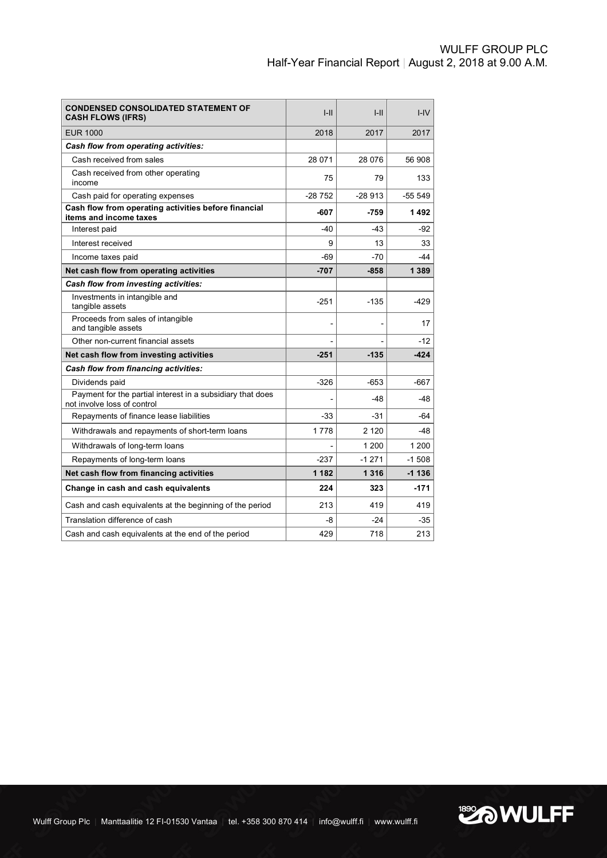| <b>CONDENSED CONSOLIDATED STATEMENT OF</b><br><b>CASH FLOWS (IFRS)</b>                    | $I-II$         | $I-II$   | $I - IV$  |
|-------------------------------------------------------------------------------------------|----------------|----------|-----------|
| <b>EUR 1000</b>                                                                           | 2018           | 2017     | 2017      |
| Cash flow from operating activities:                                                      |                |          |           |
| Cash received from sales                                                                  | 28 071         | 28 0 76  | 56 908    |
| Cash received from other operating<br>income                                              | 75             | 79       | 133       |
| Cash paid for operating expenses                                                          | $-28752$       | $-28913$ | $-55.549$ |
| Cash flow from operating activities before financial<br>items and income taxes            | $-607$         | -759     | 1492      |
| Interest paid                                                                             | $-40$          | $-43$    | -92       |
| Interest received                                                                         | 9              | 13       | 33        |
| Income taxes paid                                                                         | $-69$          | $-70$    | -44       |
| Net cash flow from operating activities                                                   | $-707$         | $-858$   | 1 3 8 9   |
| Cash flow from investing activities:                                                      |                |          |           |
| Investments in intangible and<br>tangible assets                                          | $-251$         | $-135$   | $-429$    |
| Proceeds from sales of intangible<br>and tangible assets                                  | $\overline{a}$ | ۰        | 17        |
| Other non-current financial assets                                                        |                |          | $-12$     |
| Net cash flow from investing activities                                                   | $-251$         | $-135$   | $-424$    |
| Cash flow from financing activities:                                                      |                |          |           |
| Dividends paid                                                                            | $-326$         | $-653$   | $-667$    |
| Payment for the partial interest in a subsidiary that does<br>not involve loss of control |                | $-48$    | -48       |
| Repayments of finance lease liabilities                                                   | $-33$          | $-31$    | -64       |
| Withdrawals and repayments of short-term loans                                            | 1778           | 2 1 2 0  | -48       |
| Withdrawals of long-term loans                                                            |                | 1 200    | 1 200     |
| Repayments of long-term loans                                                             | $-237$         | $-1271$  | $-1508$   |
| Net cash flow from financing activities                                                   | 1 1 8 2        | 1 3 1 6  | $-1136$   |
| Change in cash and cash equivalents                                                       | 224            | 323      | $-171$    |
| Cash and cash equivalents at the beginning of the period                                  | 213            | 419      | 419       |
| Translation difference of cash                                                            | -8             | $-24$    | -35       |
| Cash and cash equivalents at the end of the period                                        | 429            | 718      | 213       |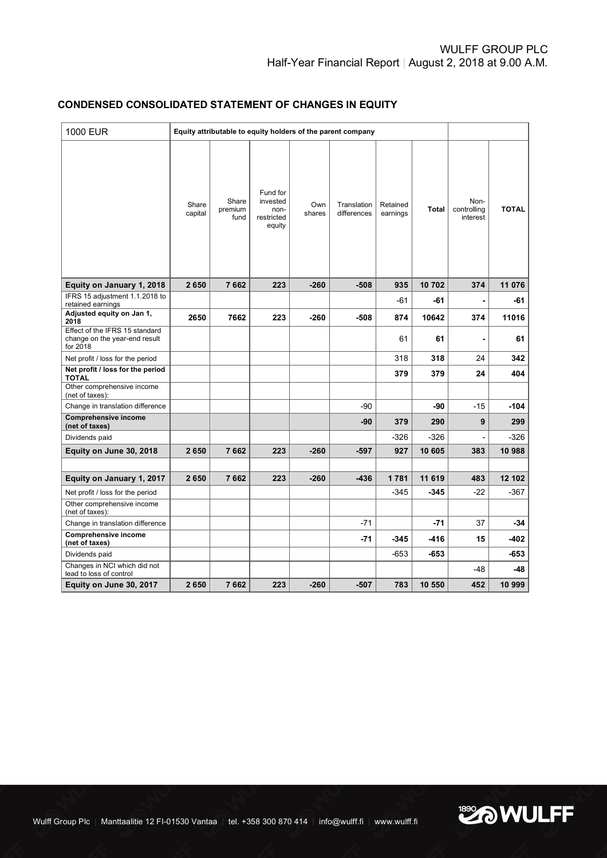# **CONDENSED CONSOLIDATED STATEMENT OF CHANGES IN EQUITY**

| 1000 EUR                                                                    |                  | Equity attributable to equity holders of the parent company |                                                      |               |                            |                      |        |                                 |              |
|-----------------------------------------------------------------------------|------------------|-------------------------------------------------------------|------------------------------------------------------|---------------|----------------------------|----------------------|--------|---------------------------------|--------------|
|                                                                             | Share<br>capital | Share<br>premium<br>fund                                    | Fund for<br>invested<br>non-<br>restricted<br>equity | Own<br>shares | Translation<br>differences | Retained<br>earnings | Total  | Non-<br>controlling<br>interest | <b>TOTAL</b> |
| Equity on January 1, 2018                                                   | 2650             | 7662                                                        | 223                                                  | $-260$        | $-508$                     | 935                  | 10702  | 374                             | 11 076       |
| IFRS 15 adjustment 1.1.2018 to<br>retained earnings                         |                  |                                                             |                                                      |               |                            | -61                  | -61    | $\blacksquare$                  | -61          |
| Adjusted equity on Jan 1,<br>2018                                           | 2650             | 7662                                                        | 223                                                  | -260          | $-508$                     | 874                  | 10642  | 374                             | 11016        |
| Effect of the IFRS 15 standard<br>change on the year-end result<br>for 2018 |                  |                                                             |                                                      |               |                            | 61                   | 61     | ä,                              | 61           |
| Net profit / loss for the period                                            |                  |                                                             |                                                      |               |                            | 318                  | 318    | 24                              | 342          |
| Net profit / loss for the period<br><b>TOTAL</b>                            |                  |                                                             |                                                      |               |                            | 379                  | 379    | 24                              | 404          |
| Other comprehensive income<br>(net of taxes):                               |                  |                                                             |                                                      |               |                            |                      |        |                                 |              |
| Change in translation difference                                            |                  |                                                             |                                                      |               | -90                        |                      | -90    | -15                             | $-104$       |
| <b>Comprehensive income</b><br>(net of taxes)                               |                  |                                                             |                                                      |               | -90                        | 379                  | 290    | 9                               | 299          |
| Dividends paid                                                              |                  |                                                             |                                                      |               |                            | $-326$               | $-326$ |                                 | $-326$       |
| Equity on June 30, 2018                                                     | 2650             | 7662                                                        | 223                                                  | $-260$        | $-597$                     | 927                  | 10 605 | 383                             | 10 988       |
|                                                                             |                  |                                                             |                                                      |               |                            |                      |        |                                 |              |
| Equity on January 1, 2017                                                   | 2650             | 7662                                                        | 223                                                  | $-260$        | $-436$                     | 1781                 | 11 619 | 483                             | 12 102       |
| Net profit / loss for the period                                            |                  |                                                             |                                                      |               |                            | $-345$               | $-345$ | $-22$                           | $-367$       |
| Other comprehensive income<br>(net of taxes):                               |                  |                                                             |                                                      |               |                            |                      |        |                                 |              |
| Change in translation difference                                            |                  |                                                             |                                                      |               | $-71$                      |                      | $-71$  | 37                              | $-34$        |
| <b>Comprehensive income</b><br>(net of taxes)                               |                  |                                                             |                                                      |               | -71                        | $-345$               | -416   | 15                              | -402         |
| Dividends paid                                                              |                  |                                                             |                                                      |               |                            | $-653$               | $-653$ |                                 | -653         |
| Changes in NCI which did not<br>lead to loss of control                     |                  |                                                             |                                                      |               |                            |                      |        | $-48$                           | -48          |
| Equity on June 30, 2017                                                     | 2650             | 7662                                                        | 223                                                  | $-260$        | $-507$                     | 783                  | 10 550 | 452                             | 10 999       |

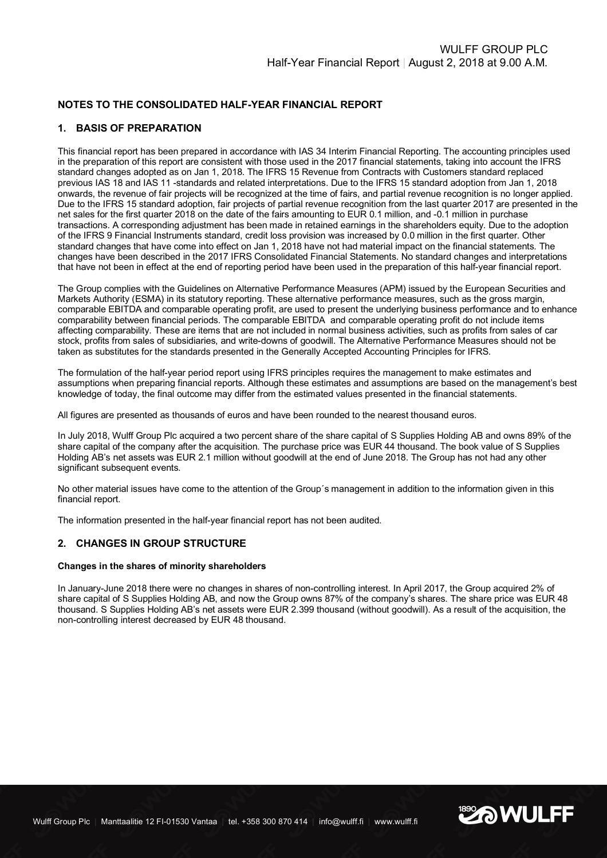# **NOTES TO THE CONSOLIDATED HALF-YEAR FINANCIAL REPORT**

### **1. BASIS OF PREPARATION**

This financial report has been prepared in accordance with IAS 34 Interim Financial Reporting. The accounting principles used in the preparation of this report are consistent with those used in the 2017 financial statements, taking into account the IFRS standard changes adopted as on Jan 1, 2018. The IFRS 15 Revenue from Contracts with Customers standard replaced previous IAS 18 and IAS 11 -standards and related interpretations. Due to the IFRS 15 standard adoption from Jan 1, 2018 onwards, the revenue of fair projects will be recognized at the time of fairs, and partial revenue recognition is no longer applied. Due to the IFRS 15 standard adoption, fair projects of partial revenue recognition from the last quarter 2017 are presented in the net sales for the first quarter 2018 on the date of the fairs amounting to EUR 0.1 million, and -0.1 million in purchase transactions. A corresponding adjustment has been made in retained earnings in the shareholders equity. Due to the adoption of the IFRS 9 Financial Instruments standard, credit loss provision was increased by 0.0 million in the first quarter. Other standard changes that have come into effect on Jan 1, 2018 have not had material impact on the financial statements. The changes have been described in the 2017 IFRS Consolidated Financial Statements. No standard changes and interpretations that have not been in effect at the end of reporting period have been used in the preparation of this half-year financial report.

The Group complies with the Guidelines on Alternative Performance Measures (APM) issued by the European Securities and Markets Authority (ESMA) in its statutory reporting. These alternative performance measures, such as the gross margin, comparable EBITDA and comparable operating profit, are used to present the underlying business performance and to enhance comparability between financial periods. The comparable EBITDA and comparable operating profit do not include items affecting comparability. These are items that are not included in normal business activities, such as profits from sales of car stock, profits from sales of subsidiaries, and write-downs of goodwill. The Alternative Performance Measures should not be taken as substitutes for the standards presented in the Generally Accepted Accounting Principles for IFRS.

The formulation of the half-year period report using IFRS principles requires the management to make estimates and assumptions when preparing financial reports. Although these estimates and assumptions are based on the management's best knowledge of today, the final outcome may differ from the estimated values presented in the financial statements.

All figures are presented as thousands of euros and have been rounded to the nearest thousand euros.

In July 2018, Wulff Group Plc acquired a two percent share of the share capital of S Supplies Holding AB and owns 89% of the share capital of the company after the acquisition. The purchase price was EUR 44 thousand. The book value of S Supplies Holding AB's net assets was EUR 2.1 million without goodwill at the end of June 2018. The Group has not had any other significant subsequent events.

No other material issues have come to the attention of the Group´s management in addition to the information given in this financial report.

The information presented in the half-year financial report has not been audited.

#### **2. CHANGES IN GROUP STRUCTURE**

#### **Changes in the shares of minority shareholders**

In January-June 2018 there were no changes in shares of non-controlling interest. In April 2017, the Group acquired 2% of share capital of S Supplies Holding AB, and now the Group owns 87% of the company's shares. The share price was EUR 48 thousand. S Supplies Holding AB's net assets were EUR 2.399 thousand (without goodwill). As a result of the acquisition, the non-controlling interest decreased by EUR 48 thousand.

**EXAMULFF**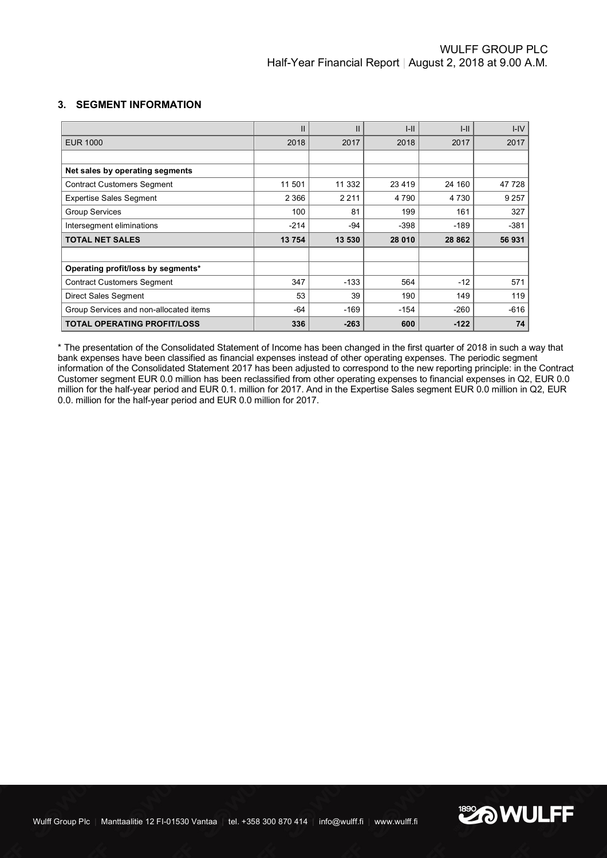# **3. SEGMENT INFORMATION**

|                                        | $\mathbf{I}$ | $\mathsf{I}$ | $I-II$  | $I-II$  | $I - IV$ |
|----------------------------------------|--------------|--------------|---------|---------|----------|
| <b>EUR 1000</b>                        | 2018         | 2017         | 2018    | 2017    | 2017     |
|                                        |              |              |         |         |          |
| Net sales by operating segments        |              |              |         |         |          |
| <b>Contract Customers Segment</b>      | 11 501       | 11 332       | 23 4 19 | 24 160  | 47 728   |
| <b>Expertise Sales Segment</b>         | 2 3 6 6      | 2 2 1 1      | 4 7 9 0 | 4 7 3 0 | 9 2 5 7  |
| <b>Group Services</b>                  | 100          | 81           | 199     | 161     | 327      |
| Intersegment eliminations              | $-214$       | -94          | $-398$  | $-189$  | $-381$   |
| <b>TOTAL NET SALES</b>                 | 13754        | 13 530       | 28 010  | 28 862  | 56 931   |
|                                        |              |              |         |         |          |
| Operating profit/loss by segments*     |              |              |         |         |          |
| <b>Contract Customers Segment</b>      | 347          | $-133$       | 564     | $-12$   | 571      |
| Direct Sales Segment                   | 53           | 39           | 190     | 149     | 119      |
| Group Services and non-allocated items | $-64$        | $-169$       | $-154$  | $-260$  | $-616$   |
| <b>TOTAL OPERATING PROFIT/LOSS</b>     | 336          | $-263$       | 600     | $-122$  | 74       |

\* The presentation of the Consolidated Statement of Income has been changed in the first quarter of 2018 in such a way that bank expenses have been classified as financial expenses instead of other operating expenses. The periodic segment information of the Consolidated Statement 2017 has been adjusted to correspond to the new reporting principle: in the Contract Customer segment EUR 0.0 million has been reclassified from other operating expenses to financial expenses in Q2, EUR 0.0 million for the half-year period and EUR 0.1. million for 2017. And in the Expertise Sales segment EUR 0.0 million in Q2, EUR 0.0. million for the half-year period and EUR 0.0 million for 2017.

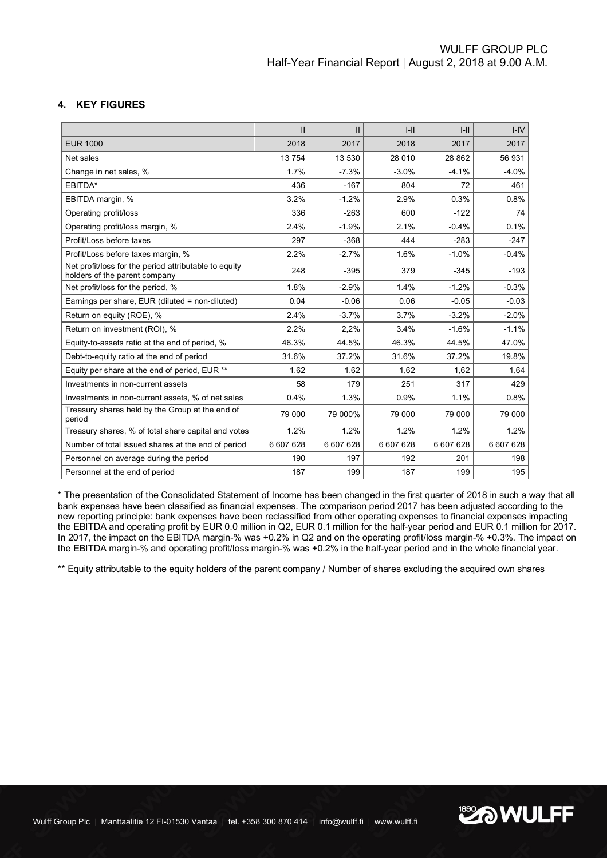# **4. KEY FIGURES**

|                                                                                        | $\mathbf{II}$ | $\mathbf{II}$ | $I-II$    | $I-II$  | $I - IV$ |
|----------------------------------------------------------------------------------------|---------------|---------------|-----------|---------|----------|
| <b>EUR 1000</b>                                                                        | 2018          | 2017          | 2018      | 2017    | 2017     |
| Net sales                                                                              | 13754         | 13 530        | 28 010    | 28 862  | 56 931   |
| Change in net sales, %                                                                 | 1.7%          | $-7.3%$       | $-3.0%$   | $-4.1%$ | $-4.0%$  |
| EBITDA*                                                                                | 436           | $-167$        | 804       | 72      | 461      |
| EBITDA margin, %                                                                       | 3.2%          | $-1.2%$       | 2.9%      | 0.3%    | 0.8%     |
| Operating profit/loss                                                                  | 336           | $-263$        | 600       | $-122$  | 74       |
| Operating profit/loss margin, %                                                        | 2.4%          | $-1.9%$       | 2.1%      | $-0.4%$ | 0.1%     |
| Profit/Loss before taxes                                                               | 297           | $-368$        | 444       | $-283$  | $-247$   |
| Profit/Loss before taxes margin, %                                                     | 2.2%          | $-2.7%$       | 1.6%      | $-1.0%$ | $-0.4%$  |
| Net profit/loss for the period attributable to equity<br>holders of the parent company | 248           | $-395$        | 379       | $-345$  | $-193$   |
| Net profit/loss for the period, %                                                      | 1.8%          | $-2.9%$       | 1.4%      | $-1.2%$ | $-0.3%$  |
| Earnings per share, EUR (diluted = non-diluted)                                        | 0.04          | $-0.06$       | 0.06      | $-0.05$ | $-0.03$  |
| Return on equity (ROE), %                                                              | 2.4%          | $-3.7%$       | 3.7%      | $-3.2%$ | $-2.0%$  |
| Return on investment (ROI), %                                                          | 2.2%          | 2,2%          | 3.4%      | $-1.6%$ | $-1.1%$  |
| Equity-to-assets ratio at the end of period, %                                         | 46.3%         | 44.5%         | 46.3%     | 44.5%   | 47.0%    |
| Debt-to-equity ratio at the end of period                                              | 31.6%         | 37.2%         | 31.6%     | 37.2%   | 19.8%    |
| Equity per share at the end of period, EUR **                                          | 1,62          | 1,62          | 1,62      | 1,62    | 1,64     |
| Investments in non-current assets                                                      | 58            | 179           | 251       | 317     | 429      |
| Investments in non-current assets, % of net sales                                      | 0.4%          | 1.3%          | 0.9%      | 1.1%    | 0.8%     |
| Treasury shares held by the Group at the end of<br>period                              | 79 000        | 79 000%       | 79 000    | 79 000  | 79 000   |
| Treasury shares, % of total share capital and votes                                    | 1.2%          | 1.2%          | 1.2%      | 1.2%    | 1.2%     |
| Number of total issued shares at the end of period                                     | 6 607 628     | 6 607 628     | 6 607 628 | 6607628 | 6607628  |
| Personnel on average during the period                                                 | 190           | 197           | 192       | 201     | 198      |
| Personnel at the end of period                                                         | 187           | 199           | 187       | 199     | 195      |

\* The presentation of the Consolidated Statement of Income has been changed in the first quarter of 2018 in such a way that all bank expenses have been classified as financial expenses. The comparison period 2017 has been adjusted according to the new reporting principle: bank expenses have been reclassified from other operating expenses to financial expenses impacting the EBITDA and operating profit by EUR 0.0 million in Q2, EUR 0.1 million for the half-year period and EUR 0.1 million for 2017. In 2017, the impact on the EBITDA margin-% was +0.2% in Q2 and on the operating profit/loss margin-% +0.3%. The impact on the EBITDA margin-% and operating profit/loss margin-% was +0.2% in the half-year period and in the whole financial year.

\*\* Equity attributable to the equity holders of the parent company / Number of shares excluding the acquired own shares